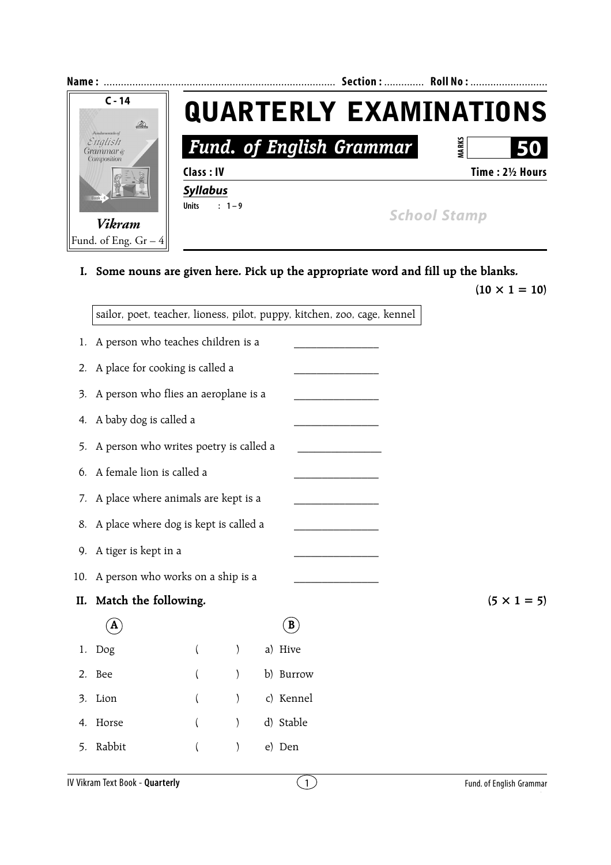

**I. Some nouns are given here. Pick up the appropriate word and fill up the blanks.**

 $(10 \times 1 = 10)$ 

|     | sailor, poet, teacher, lioness, pilot, puppy, kitchen, zoo, cage, kennel |                |               |  |              |  |  |  |
|-----|--------------------------------------------------------------------------|----------------|---------------|--|--------------|--|--|--|
| 1.  | A person who teaches children is a                                       |                |               |  |              |  |  |  |
| 2.  | A place for cooking is called a                                          |                |               |  |              |  |  |  |
| 3.  | A person who flies an aeroplane is a                                     |                |               |  |              |  |  |  |
| 4.  | A baby dog is called a                                                   |                |               |  |              |  |  |  |
| 5.  | A person who writes poetry is called a                                   |                |               |  |              |  |  |  |
| 6.  | A female lion is called a                                                |                |               |  |              |  |  |  |
| 7.  | A place where animals are kept is a                                      |                |               |  |              |  |  |  |
| 8.  | A place where dog is kept is called a                                    |                |               |  |              |  |  |  |
| 9.  | A tiger is kept in a                                                     |                |               |  |              |  |  |  |
| 10. | A person who works on a ship is a                                        |                |               |  |              |  |  |  |
| II. | Match the following.                                                     |                |               |  |              |  |  |  |
|     | A                                                                        |                |               |  | $\mathbf{B}$ |  |  |  |
| 1.  | Dog                                                                      | (              | $\mathcal{E}$ |  | a) Hive      |  |  |  |
| 2.  | Bee                                                                      | $\left($       | $\mathcal{E}$ |  | b) Burrow    |  |  |  |
| 3.  | Lion                                                                     | (              | $\mathcal{E}$ |  | c) Kennel    |  |  |  |
| 4.  | Horse                                                                    | $\overline{ }$ | $\mathcal{E}$ |  | d) Stable    |  |  |  |
| 5.  | Rabbit                                                                   |                | ∖             |  | e) Den       |  |  |  |

 $(5 \times 1 = 5)$